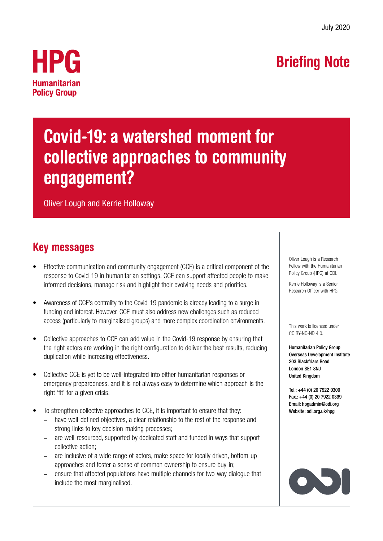## Briefing Note



# Covid-19: a watershed moment for collective approaches to community engagement?

Oliver Lough and Kerrie Holloway

## Key messages

- Effective communication and community engagement (CCE) is a critical component of the response to Covid-19 in humanitarian settings. CCE can support affected people to make informed decisions, manage risk and highlight their evolving needs and priorities.
- Awareness of CCE's centrality to the Covid-19 pandemic is already leading to a surge in funding and interest. However, CCE must also address new challenges such as reduced access (particularly to marginalised groups) and more complex coordination environments.
- Collective approaches to CCE can add value in the Covid-19 response by ensuring that the right actors are working in the right configuration to deliver the best results, reducing duplication while increasing effectiveness.
- Collective CCE is yet to be well-integrated into either humanitarian responses or emergency preparedness, and it is not always easy to determine which approach is the right 'fit' for a given crisis.
- To strengthen collective approaches to CCE, it is important to ensure that they:
	- have well-defined objectives, a clear relationship to the rest of the response and strong links to key decision-making processes;
	- are well-resourced, supported by dedicated staff and funded in ways that support collective action;
	- are inclusive of a wide range of actors, make space for locally driven, bottom-up approaches and foster a sense of common ownership to ensure buy-in;
	- ensure that affected populations have multiple channels for two-way dialogue that include the most marginalised.

Oliver Lough is a Research Fellow with the Humanitarian Policy Group (HPG) at ODI.

Kerrie Holloway is a Senior Research Officer with HPG.

This work is licensed under CC BY-NC-ND 4.0.

Humanitarian Policy Group Overseas Development Institute 203 Blackfriars Road London SE1 8NJ United Kingdom

Tel.: +44 (0) 20 7922 0300 Fax.: +44 (0) 20 7922 0399 Email: [hpgadmin@odi.org](mailto:hpgadmin%40odi.org.uk?subject=) Website: [odi.org.uk/hpg](http://www.odi.org.uk/hpg)

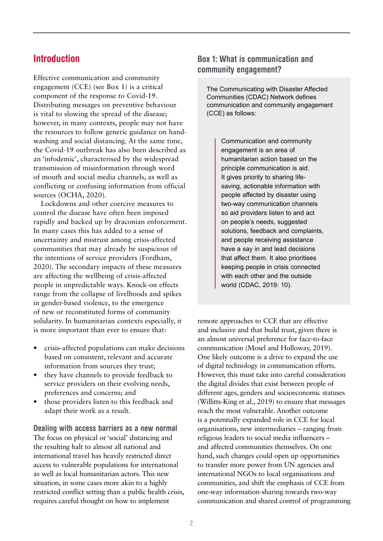### Introduction

Effective communication and community engagement (CCE) (see Box 1) is a critical component of the response to Covid-19. Distributing messages on preventive behaviour is vital to slowing the spread of the disease; however, in many contexts, people may not have the resources to follow generic guidance on handwashing and social distancing. At the same time, the Covid-19 outbreak has also been described as an 'infodemic', characterised by the widespread transmission of misinformation through word of mouth and social media channels, as well as conflicting or confusing information from official sources (OCHA, 2020).

Lockdowns and other coercive measures to control the disease have often been imposed rapidly and backed up by draconian enforcement. In many cases this has added to a sense of uncertainty and mistrust among crisis-affected communities that may already be suspicious of the intentions of service providers (Fordham, 2020). The secondary impacts of these measures are affecting the wellbeing of crisis-affected people in unpredictable ways. Knock-on effects range from the collapse of livelhoods and spikes in gender-based violence, to the emergence of new or reconstituted forms of community solidarity. In humanitarian contexts especially, it is more important than ever to ensure that:

- **•** crisis-affected populations can make decisions based on consistent, relevant and accurate information from sources they trust;
- **•** they have channels to provide feedback to service providers on their evolving needs, preferences and concerns; and
- **•** those providers listen to this feedback and adapt their work as a result.

Dealing with access barriers as a new normal The focus on physical or 'social' distancing and the resulting halt to almost all national and international travel has heavily restricted direct access to vulnerable populations for international as well as local humanitarian actors. This new situation, in some cases more akin to a highly restricted conflict setting than a public health crisis, requires careful thought on how to implement

#### Box 1: What is communication and community engagement?

The Communicating with Disaster Affected Communities (CDAC) Network defines communication and community engagement (CCE) as follows:

> Communication and community engagement is an area of humanitarian action based on the principle communication is aid. It gives priority to sharing lifesaving, actionable information with people affected by disaster using two-way communication channels so aid providers listen to and act on people's needs, suggested solutions, feedback and complaints, and people receiving assistance have a say in and lead decisions that affect them. It also prioritises keeping people in crisis connected with each other and the outside world (CDAC, 2019: 10).

remote approaches to CCE that are effective and inclusive and that build trust, given there is an almost universal preference for face-to-face communication (Mosel and Holloway, 2019). One likely outcome is a drive to expand the use of digital technology in communication efforts. However, this must take into careful consideration the digital divides that exist between people of different ages, genders and socioeconomic statuses (Willitts-King et al., 2019) to ensure that messages reach the most vulnerable. Another outcome is a potentially expanded role in CCE for local organisations, new intermediaries – ranging from religious leaders to social media influencers – and affected communities themselves. On one hand, such changes could open up opportunities to transfer more power from UN agencies and international NGOs to local organisations and communities, and shift the emphasis of CCE from one-way information-sharing towards two-way communication and shared control of programming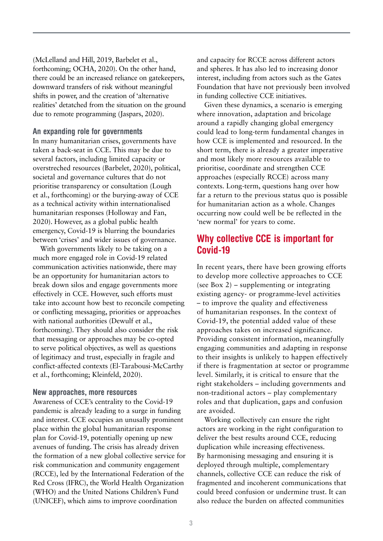(McLelland and Hill, 2019, Barbelet et al., forthcoming; OCHA, 2020). On the other hand, there could be an increased reliance on gatekeepers, downward transfers of risk without meaningful shifts in power, and the creation of 'alternative realities' detatched from the situation on the ground due to remote programming (Jaspars, 2020).

#### An expanding role for governments

In many humanitarian crises, governments have taken a back-seat in CCE. This may be due to several factors, including limited capacity or overstreched resources (Barbelet, 2020), political, societal and governance cultures that do not prioritise transparency or consultation (Lough et al., forthcoming) or the burying-away of CCE as a technical activity within internationalised humanitarian responses (Holloway and Fan, 2020). However, as a global public health emergency, Covid-19 is blurring the boundaries between 'crises' and wider issues of governance.

With governments likely to be taking on a much more engaged role in Covid-19 related communication activities nationwide, there may be an opportunity for humanitarian actors to break down silos and engage governments more effectively in CCE. However, such efforts must take into account how best to reconcile competing or conflicting messaging, priorities or approaches with national authorities (Dewulf et al., forthcoming). They should also consider the risk that messaging or approaches may be co-opted to serve political objectives, as well as questions of legitimacy and trust, especially in fragile and conflict-affected contexts (El-Tarabousi-McCarthy et al., forthcoming; Kleinfeld, 2020).

#### New approaches, more resources

Awareness of CCE's centrality to the Covid-19 pandemic is already leading to a surge in funding and interest. CCE occupies an unusally prominent place within the global humanitarian response plan for Covid-19, potentially opening up new avenues of funding. The crisis has already driven the formation of a new global collective service for risk communication and community engagement (RCCE), led by the International Federation of the Red Cross (IFRC), the World Health Organization (WHO) and the United Nations Children's Fund (UNICEF), which aims to improve coordination

and capacity for RCCE across different actors and spheres. It has also led to increasing donor interest, including from actors such as the Gates Foundation that have not previously been involved in funding collective CCE initiatives.

Given these dynamics, a scenario is emerging where innovation, adaptation and bricolage around a rapidly changing global emergency could lead to long-term fundamental changes in how CCE is implemented and resourced. In the short term, there is already a greater imperative and most likely more resources available to prioritise, coordinate and strengthen CCE approaches (especially RCCE) across many contexts. Long-term, questions hang over how far a return to the previous status quo is possible for humanitarian action as a whole. Changes occurring now could well be be reflected in the 'new normal' for years to come.

## Why collective CCE is important for Covid-19

In recent years, there have been growing efforts to develop more collective approaches to CCE (see Box 2) – supplementing or integrating existing agency- or programme-level activities – to improve the quality and effectiveness of humanitarian responses. In the context of Covid-19, the potential added value of these approaches takes on increased significance. Providing consistent information, meaningfully engaging communities and adapting in response to their insights is unlikely to happen effectively if there is fragmentation at sector or programme level. Similarly, it is critical to ensure that the right stakeholders – including governments and non-traditional actors – play complementary roles and that duplication, gaps and confusion are avoided.

Working collectively can ensure the right actors are working in the right configuration to deliver the best results around CCE, reducing duplication while increasing effectiveness. By harmonising messaging and ensuring it is deployed through multiple, complementary channels, collective CCE can reduce the risk of fragmented and incoherent communications that could breed confusion or undermine trust. It can also reduce the burden on affected communities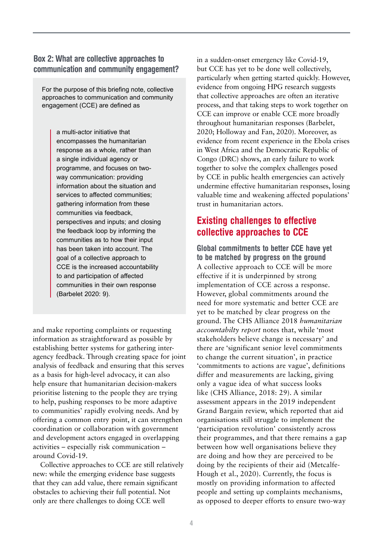#### Box 2: What are collective approaches to communication and community engagement?

For the purpose of this briefing note, collective approaches to communication and community engagement (CCE) are defined as

> a multi-actor initiative that encompasses the humanitarian response as a whole, rather than a single individual agency or programme, and focuses on twoway communication: providing information about the situation and services to affected communities: gathering information from these communities via feedback, perspectives and inputs; and closing the feedback loop by informing the communities as to how their input has been taken into account. The goal of a collective approach to CCE is the increased accountability to and participation of affected communities in their own response (Barbelet 2020: 9).

and make reporting complaints or requesting information as straightforward as possible by establishing better systems for gathering interagency feedback. Through creating space for joint analysis of feedback and ensuring that this serves as a basis for high-level advocacy, it can also help ensure that humanitarian decision-makers prioritise listening to the people they are trying to help, pushing responses to be more adaptive to communities' rapidly evolving needs. And by offering a common entry point, it can strengthen coordination or collaboration with government and development actors engaged in overlapping activities – especially risk communication – around Covid-19.

Collective approaches to CCE are still relatively new: while the emerging evidence base suggests that they can add value, there remain significant obstacles to achieving their full potential. Not only are there challenges to doing CCE well

in a sudden-onset emergency like Covid-19, but CCE has yet to be done well collectively, particularly when getting started quickly. However, evidence from ongoing HPG research suggests that collective approaches are often an iterative process, and that taking steps to work together on CCE can improve or enable CCE more broadly throughout humanitarian responses (Barbelet, 2020; Holloway and Fan, 2020). Moreover, as evidence from recent experience in the Ebola crises in West Africa and the Democratic Republic of Congo (DRC) shows, an early failure to work together to solve the complex challenges posed by CCE in public health emergencies can actively undermine effective humanitarian responses, losing valuable time and weakening affected populations' trust in humanitarian actors.

### Existing challenges to effective collective approaches to CCE

Global commitments to better CCE have yet to be matched by progress on the ground A collective approach to CCE will be more effective if it is underpinned by strong implementation of CCE across a response. However, global commitments around the need for more systematic and better CCE are yet to be matched by clear progress on the ground. The CHS Alliance 2018 *humanitarian accountabilty report* notes that, while 'most stakeholders believe change is necessary' and there are 'significant senior level commitments to change the current situation', in practice 'commitments to actions are vague', definitions differ and measurements are lacking, giving only a vague idea of what success looks like (CHS Alliance, 2018: 29). A similar assessment appears in the 2019 independent Grand Bargain review, which reported that aid organisations still struggle to implement the 'participation revolution' consistently across their programmes, and that there remains a gap between how well organisations believe they are doing and how they are perceived to be doing by the recipients of their aid (Metcalfe-Hough et al., 2020). Currently, the focus is mostly on providing information to affected people and setting up complaints mechanisms, as opposed to deeper efforts to ensure two-way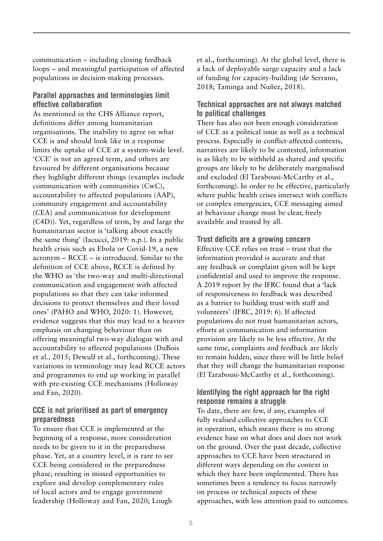communication – including closing feedback loops – and meaningful participation of affected populations in decision-making processes.

#### Parallel approaches and terminologies limit effective collaboration

As mentioned in the CHS Alliance report, definitions differ among humanitarian organisations. The inability to agree on what CCE is and should look like in a response limits the uptake of CCE at a system-wide level. 'CCE' is not an agreed term, and others are favoured by different organisations because they highlight different things (examples include communication with communities (CwC), accountability to affected populations (AAP), community engagement and accountability (CEA) and communication for development (C4D)). Yet, regardless of term, by and large the humanitarian sector is 'talking about exactly the same thing' (Iacucci, 2019: n.p.). In a public health crisis such as Ebola or Covid-19, a new acronym – RCCE – is introduced. Similar to the definition of CCE above, RCCE is defined by the WHO as 'the two-way and multi-directional communication and engagement with affected populations so that they can take informed decisions to protect themselves and their loved ones' (PAHO and WHO, 2020: 1). However, evidence suggests that this may lead to a heavier emphasis on changing behaviour than on offering meaningful two-way dialogue with and accountability to affected populations (DuBois et al., 2015; Dewulf et al., forthcoming). These variations in terminology may lead RCCE actors and programmes to end up working in parallel with pre-existing CCE mechanisms (Holloway and Fan, 2020).

#### CCE is not prioritised as part of emergency preparedness

To ensure that CCE is implemented at the beginning of a response, more consideration needs to be given to it in the preparedness phase. Yet, at a country level, it is rare to see CCE being considered in the preparedness phase, resulting in missed opportunities to explore and develop complementary roles of local actors and to engage government leadership (Holloway and Fan, 2020; Lough

et al., forthcoming). At the global level, there is a lack of deployable surge capacity and a lack of funding for capacity-building (de Serrano, 2018; Taminga and Nuñez, 2018).

#### Technical approaches are not always matched to political challenges

There has also not been enough consideration of CCE as a political issue as well as a technical process. Especially in conflict-affected contexts, narratives are likely to be contested, information is as likely to be withheld as shared and specific groups are likely to be deliberately marginalised and excluded (El Tarabousi-McCarthy et al., forthcoming). In order to be effective, particularly where public health crises intersect with conflicts or complex emergencies, CCE messaging aimed at behaviour change must be clear, freely available and trusted by all.

#### Trust deficits are a growing concern

Effective CCE relies on trust – trust that the information provided is accurate and that any feedback or complaint given will be kept confidential and used to improve the response. A 2019 report by the IFRC found that a 'lack of responsiveness to feedback was described as a barrier to building trust with staff and volunteers' (IFRC, 2019: 6). If affected populations do not trust humanitarian actors, efforts at communication and information provision are likely to be less effective. At the same time, complaints and feedback are likely to remain hidden, since there will be little belief that they will change the humanitarian response (El Tarabousi-McCarthy et al., forthcoming).

#### Identifying the right approach for the right response remains a struggle

To date, there are few, if any, examples of fully realised collective approaches to CCE in operation, which means there is no strong evidence base on what does and does not work on the ground. Over the past decade, collective approaches to CCE have been structured in different ways depending on the context in which they have been implemented. There has sometimes been a tendency to focus narrowly on process or technical aspects of these approaches, with less attention paid to outcomes.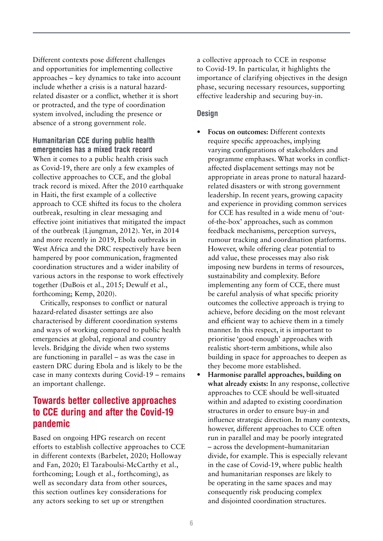Different contexts pose different challenges and opportunities for implementing collective approaches – key dynamics to take into account include whether a crisis is a natural hazardrelated disaster or a conflict, whether it is short or protracted, and the type of coordination system involved, including the presence or absence of a strong government role.

#### Humanitarian CCE during public health emergencies has a mixed track record

When it comes to a public health crisis such as Covid-19, there are only a few examples of collective approaches to CCE, and the global track record is mixed. After the 2010 earthquake in Haiti, the first example of a collective approach to CCE shifted its focus to the cholera outbreak, resulting in clear messaging and effective joint initiatives that mitigated the impact of the outbreak (Ljungman, 2012). Yet, in 2014 and more recently in 2019, Ebola outbreaks in West Africa and the DRC respectively have been hampered by poor communication, fragmented coordination structures and a wider inability of various actors in the response to work effectively together (DuBois et al., 2015; Dewulf et al., forthcoming; Kemp, 2020).

Critically, responses to conflict or natural hazard-related disaster settings are also characterised by different coordination systems and ways of working compared to public health emergencies at global, regional and country levels. Bridging the divide when two systems are functioning in parallel – as was the case in eastern DRC during Ebola and is likely to be the case in many contexts during Covid-19 – remains an important challenge.

## Towards better collective approaches to CCE during and after the Covid-19 pandemic

Based on ongoing HPG research on recent efforts to establish collective approaches to CCE in different contexts (Barbelet, 2020; Holloway and Fan, 2020; El Taraboulsi-McCarthy et al., forthcoming; Lough et al., forthcoming), as well as secondary data from other sources, this section outlines key considerations for any actors seeking to set up or strengthen

a collective approach to CCE in response to Covid-19. In particular, it highlights the importance of clarifying objectives in the design phase, securing necessary resources, supporting effective leadership and securing buy-in.

#### **Design**

- **• Focus on outcomes:** Different contexts require specific approaches, implying varying configurations of stakeholders and programme emphases. What works in conflictaffected displacement settings may not be appropriate in areas prone to natural hazardrelated disasters or with strong government leadership. In recent years, growing capacity and experience in providing common services for CCE has resulted in a wide menu of 'outof-the-box' approaches, such as common feedback mechanisms, perception surveys, rumour tracking and coordination platforms. However, while offering clear potential to add value, these processes may also risk imposing new burdens in terms of resources, sustainability and complexity. Before implementing any form of CCE, there must be careful analysis of what specific priority outcomes the collective approach is trying to achieve, before deciding on the most relevant and efficient way to achieve them in a timely manner. In this respect, it is important to prioritise 'good enough' approaches with realistic short-term ambitions, while also building in space for approaches to deepen as they become more established.
- **• Harmonise parallel approaches, building on what already exists:** In any response, collective approaches to CCE should be well-situated within and adapted to existing coordination structures in order to ensure buy-in and influence strategic direction. In many contexts, however, different approaches to CCE often run in parallel and may be poorly integrated – across the development–humanitarian divide, for example. This is especially relevant in the case of Covid-19, where public health and humanitarian responses are likely to be operating in the same spaces and may consequently risk producing complex and disjointed coordination structures.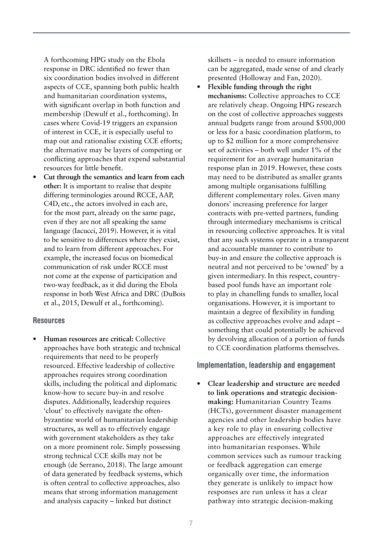A forthcoming HPG study on the Ebola response in DRC identified no fewer than six coordination bodies involved in different aspects of CCE, spanning both public health and humanitarian coordination systems, with significant overlap in both function and membership (Dewulf et al., forthcoming). In cases where Covid-19 triggers an expansion of interest in CCE, it is especially useful to map out and rationalise existing CCE efforts; the alternative may be layers of competing or conflicting approaches that expend substantial resources for little benefit.

**• Cut through the semantics and learn from each other:** It is important to realise that despite differing terminologies around RCCE, AAP, C4D, etc., the actors involved in each are, for the most part, already on the same page, even if they are not all speaking the same language (Iacucci, 2019). However, it is vital to be sensitive to differences where they exist, and to learn from different approaches. For example, the increased focus on biomedical communication of risk under RCCE must not come at the expense of participation and two-way feedback, as it did during the Ebola response in both West Africa and DRC (DuBois et al., 2015, Dewulf et al., forthcoming).

#### **Resources**

**• Human resources are critical:** Collective approaches have both strategic and technical requirements that need to be properly resourced. Effective leadership of collective approaches requires strong coordination skills, including the political and diplomatic know-how to secure buy-in and resolve disputes. Additionally, leadership requires 'clout' to effectively navigate the oftenbyzantine world of humanitarian leadership structures, as well as to effectively engage with government stakeholders as they take on a more prominent role. Simply possessing strong technical CCE skills may not be enough (de Serrano, 2018). The large amount of data generated by feedback systems, which is often central to collective approaches, also means that strong information management and analysis capacity – linked but distinct

skillsets – is needed to ensure information can be aggregated, made sense of and clearly presented (Holloway and Fan, 2020).

**• Flexible funding through the right mechanisms:** Collective approaches to CCE are relatively cheap. Ongoing HPG research on the cost of collective approaches suggests annual budgets range from around \$500,000 or less for a basic coordination platform, to up to \$2 million for a more comprehensive set of activities – both well under 1% of the requirement for an average humanitarian response plan in 2019. However, these costs may need to be distributed as smaller grants among multiple organisations fulfilling different complementary roles. Given many donors' increasing preference for larger contracts with pre-vetted partners, funding through intermediary mechanisms is critical in resourcing collective approaches. It is vital that any such systems operate in a transparent and accountable manner to contribute to buy-in and ensure the collective approach is neutral and not perceived to be 'owned' by a given intermediary. In this respect, countrybased pool funds have an important role to play in chanelling funds to smaller, local organisations. However, it is important to maintain a degree of flexibility in funding as collective approaches evolve and adapt – something that could potentially be achieved by devolving allocation of a portion of funds to CCE coordination platforms themselves.

#### Implementation, leadership and engagement

**• Clear leadership and structure are needed to link operations and strategic decisionmaking:** Humanitarian Country Teams (HCTs), government disaster management agencies and other leadership bodies have a key role to play in ensuring collective approaches are effectively integrated into humanitarian responses. While common services such as rumour tracking or feedback aggregation can emerge organically over time, the information they generate is unlikely to impact how responses are run unless it has a clear pathway into strategic decision-making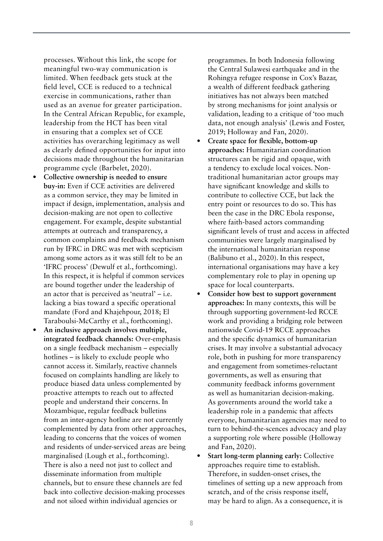processes. Without this link, the scope for meaningful two-way communication is limited. When feedback gets stuck at the field level, CCE is reduced to a technical exercise in communications, rather than used as an avenue for greater participation. In the Central African Republic, for example, leadership from the HCT has been vital in ensuring that a complex set of CCE activities has overarching legitimacy as well as clearly defined opportunities for input into decisions made throughout the humanitarian programme cycle (Barbelet, 2020).

- **• Collective ownership is needed to ensure buy-in:** Even if CCE activities are delivered as a common service, they may be limited in impact if design, implementation, analysis and decision-making are not open to collective engagement. For example, despite substantial attempts at outreach and transparency, a common complaints and feedback mechanism run by IFRC in DRC was met with scepticism among some actors as it was still felt to be an 'IFRC process' (Dewulf et al., forthcoming). In this respect, it is helpful if common services are bound together under the leadership of an actor that is perceived as 'neutral' – i.e. lacking a bias toward a specific operational mandate (Ford and Khajehpour, 2018; El Taraboulsi-McCarthy et al., forthcoming).
- **• An inclusive approach involves multiple, integrated feedback channels:** Over-emphasis on a single feedback mechanism – especially hotlines – is likely to exclude people who cannot access it. Similarly, reactive channels focused on complaints handling are likely to produce biased data unless complemented by proactive attempts to reach out to affected people and understand their concerns. In Mozambique, regular feedback bulletins from an inter-agency hotline are not currently complemented by data from other approaches, leading to concerns that the voices of women and residents of under-serviced areas are being marginalised (Lough et al., forthcoming). There is also a need not just to collect and disseminate information from multiple channels, but to ensure these channels are fed back into collective decision-making processes and not siloed within individual agencies or

programmes. In both Indonesia following the Central Sulawesi earthquake and in the Rohingya refugee response in Cox's Bazar, a wealth of different feedback gathering initiatives has not always been matched by strong mechanisms for joint analysis or validation, leading to a critique of 'too much data, not enough analysis' (Lewis and Foster, 2019; Holloway and Fan, 2020).

- **• Create space for flexible, bottom-up approaches:** Humanitarian coordination structures can be rigid and opaque, with a tendency to exclude local voices. Nontraditional humanitarian actor groups may have significant knowledge and skills to contribute to collective CCE, but lack the entry point or resources to do so. This has been the case in the DRC Ebola response, where faith-based actors commanding significant levels of trust and access in affected communities were largely marginalised by the international humanitarian response (Balibuno et al., 2020). In this respect, international organisations may have a key complementary role to play in opening up space for local counterparts.
- **• Consider how best to support government approaches:** In many contexts, this will be through supporting government-led RCCE work and providing a bridging role between nationwide Covid-19 RCCE approaches and the specific dynamics of humanitarian crises. It may involve a substantial advocacy role, both in pushing for more transparency and engagement from sometimes-reluctant governments, as well as ensuring that community feedback informs government as well as humanitarian decision-making. As governments around the world take a leadership role in a pandemic that affects everyone, humanitarian agencies may need to turn to behind-the-scences advocacy and play a supporting role where possible (Holloway and Fan, 2020).
- **• Start long-term planning early:** Collective approaches require time to establish. Therefore, in sudden-onset crises, the timelines of setting up a new approach from scratch, and of the crisis response itself, may be hard to align. As a consequence, it is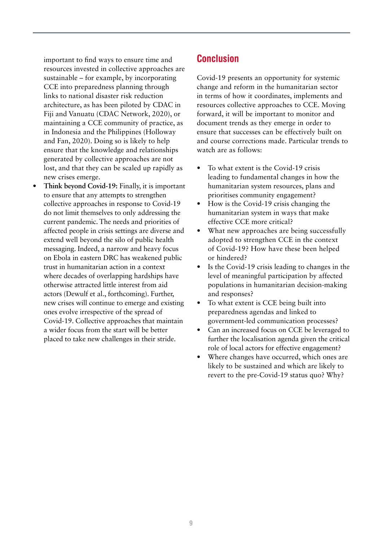important to find ways to ensure time and resources invested in collective approaches are sustainable – for example, by incorporating CCE into preparedness planning through links to national disaster risk reduction architecture, as has been piloted by CDAC in Fiji and Vanuatu (CDAC Network, 2020), or maintaining a CCE community of practice, as in Indonesia and the Philippines (Holloway and Fan, 2020). Doing so is likely to help ensure that the knowledge and relationships generated by collective approaches are not lost, and that they can be scaled up rapidly as new crises emerge.

**• Think beyond Covid-19:** Finally, it is important to ensure that any attempts to strengthen collective approaches in response to Covid-19 do not limit themselves to only addressing the current pandemic. The needs and priorities of affected people in crisis settings are diverse and extend well beyond the silo of public health messaging. Indeed, a narrow and heavy focus on Ebola in eastern DRC has weakened public trust in humanitarian action in a context where decades of overlapping hardships have otherwise attracted little interest from aid actors (Dewulf et al., forthcoming). Further, new crises will continue to emerge and existing ones evolve irrespective of the spread of Covid-19. Collective approaches that maintain a wider focus from the start will be better placed to take new challenges in their stride.

## **Conclusion**

Covid-19 presents an opportunity for systemic change and reform in the humanitarian sector in terms of how it coordinates, implements and resources collective approaches to CCE. Moving forward, it will be important to monitor and document trends as they emerge in order to ensure that successes can be effectively built on and course corrections made. Particular trends to watch are as follows:

- **•** To what extent is the Covid-19 crisis leading to fundamental changes in how the humanitarian system resources, plans and prioritises community engagement?
- **•** How is the Covid-19 crisis changing the humanitarian system in ways that make effective CCE more critical?
- **•** What new approaches are being successfully adopted to strengthen CCE in the context of Covid-19? How have these been helped or hindered?
- **•** Is the Covid-19 crisis leading to changes in the level of meaningful participation by affected populations in humanitarian decision-making and responses?
- **•** To what extent is CCE being built into preparedness agendas and linked to government-led communication processes?
- **•** Can an increased focus on CCE be leveraged to further the localisation agenda given the critical role of local actors for effective engagement?
- **•** Where changes have occurred, which ones are likely to be sustained and which are likely to revert to the pre-Covid-19 status quo? Why?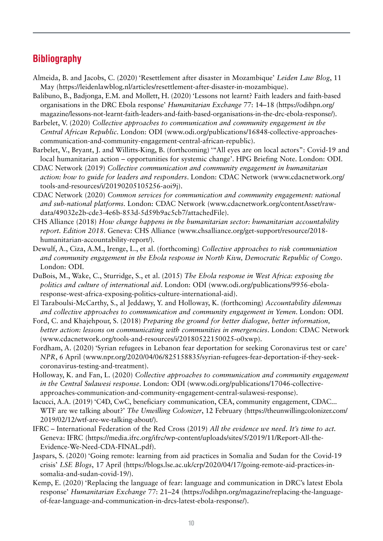## **Bibliography**

- Almeida, B. and Jacobs, C. (2020) 'Resettlement after disaster in Mozambique' *Leiden Law Blog*, 11 May ([https://leidenlawblog.nl/articles/resettlement-after-disaster-in-mozambique\)](https://leidenlawblog.nl/articles/resettlement-after-disaster-in-mozambique).
- Balibuno, B., Badjonga, E.M. and Mollett, H. (2020) 'Lessons not learnt? Faith leaders and faith-based organisations in the DRC Ebola response' *Humanitarian Exchange* 77: 14–18 [\(https://odihpn.org/](https://odihpn.org/magazine/lessons-not-learnt-faith-leaders-and-faith-based-organisations-in-the-drc-ebola-response/) [magazine/lessons-not-learnt-faith-leaders-and-faith-based-organisations-in-the-drc-ebola-response/](https://odihpn.org/magazine/lessons-not-learnt-faith-leaders-and-faith-based-organisations-in-the-drc-ebola-response/)).
- Barbelet, V. (2020) *Collective approaches to communication and community engagement in the Central African Republic*. London: ODI ([www.odi.org/publications/16848-collective-approaches](https://www.odi.org/publications/16848-collective-approaches-communication-and-community-engagement-central-african-republic)[communication-and-community-engagement-central-african-republic](https://www.odi.org/publications/16848-collective-approaches-communication-and-community-engagement-central-african-republic)).
- Barbelet, V., Bryant, J. and Willitts-King, B. (forthcoming) '"All eyes are on local actors": Covid-19 and local humanitarian action – opportunities for systemic change'. HPG Briefing Note. London: ODI.
- CDAC Network (2019) *Collective communication and community engagement in humanitarian action: how to guide for leaders and responders*. London: CDAC Network ([www.cdacnetwork.org/](http://www.cdacnetwork.org/tools-and-resources/i/20190205105256-aoi9j) [tools-and-resources/i/20190205105256-aoi9j](http://www.cdacnetwork.org/tools-and-resources/i/20190205105256-aoi9j)).
- CDAC Network (2020) *Common services for communication and community engagement: national and sub-national platforms.* London: CDAC Network [\(www.cdacnetwork.org/contentAsset/raw](http://www.cdacnetwork.org/contentAsset/raw-data/49032e2b-cde3-4e6b-853d-5d59b9ac5cb7/attachedFile)[data/49032e2b-cde3-4e6b-853d-5d59b9ac5cb7/attachedFile](http://www.cdacnetwork.org/contentAsset/raw-data/49032e2b-cde3-4e6b-853d-5d59b9ac5cb7/attachedFile)).
- CHS Alliance (2018) *How change happens in the humanitarian sector: humanitarian accountability report. Edition 2018*. Geneva: CHS Alliance [\(www.chsalliance.org/get-support/resource/2018](https://www.chsalliance.org/get-support/resource/2018-humanitarian-accountability-report/) [humanitarian-accountability-report/\)](https://www.chsalliance.org/get-support/resource/2018-humanitarian-accountability-report/).
- Dewulf, A., Ciza, A.M., Irenge, L., et al. (forthcoming) *Collective approaches to risk communiation and community engagement in the Ebola response in North Kivu, Democratic Republic of Congo*. London: ODI.
- DuBois, M., Wake, C., Sturridge, S., et al. (2015) *The Ebola response in West Africa: exposing the politics and culture of international aid*. London: ODI [\(www.odi.org/publications/9956-ebola](https://www.odi.org/publications/9956-ebola-response-west-africa-exposing-politics-culture-international-aid)[response-west-africa-exposing-politics-culture-international-aid\)](https://www.odi.org/publications/9956-ebola-response-west-africa-exposing-politics-culture-international-aid).
- El Taraboulsi-McCarthy, S., al Jeddawy, Y. and Holloway, K. (forthcoming) *Accountability dilemmas and collective approaches to communication and community engagement in Yemen*. London: ODI.
- Ford, C. and Khajehpour, S. (2018) *Preparing the ground for better dialogue, better information, better action: lessons on communicating with communities in emergencies*. London: CDAC Network [\(www.cdacnetwork.org/tools-and-resources/i/20180522150025-o0xwp\)](http://www.cdacnetwork.org/tools-and-resources/i/20180522150025-o0xwp).
- Fordham, A. (2020) 'Syrian refugees in Lebanon fear deportation for seeking Coronavirus test or care' *NPR*, 6 April ([www.npr.org/2020/04/06/825158835/syrian-refugees-fear-deportation-if-they-seek](https://www.npr.org/2020/04/06/825158835/syrian-refugees-fear-deportation-if-they-seek-coronavirus-testing-and-treatment)[coronavirus-testing-and-treatment](https://www.npr.org/2020/04/06/825158835/syrian-refugees-fear-deportation-if-they-seek-coronavirus-testing-and-treatment)).
- Holloway, K. and Fan, L. (2020) *Collective approaches to communication and community engagement in the Central Sulawesi response*. London: ODI ([www.odi.org/publications/17046-collective](https://www.odi.org/publications/17046-collective-approaches-communication-and-community-engagement-central-sulawesi-response)[approaches-communication-and-community-engagement-central-sulawesi-response\)](https://www.odi.org/publications/17046-collective-approaches-communication-and-community-engagement-central-sulawesi-response).
- Iacucci, A.A. (2019) 'C4D, CwC, beneficiary communication, CEA, community engagement, CDAC... WTF are we talking about?' *The Unwilling Colonizer*, 12 February [\(https://theunwillingcolonizer.com/](https://theunwillingcolonizer.com/2019/02/12/wtf-are-we-talking-about/) [2019/02/12/wtf-are-we-talking-about/\)](https://theunwillingcolonizer.com/2019/02/12/wtf-are-we-talking-about/).
- IFRC International Federation of the Red Cross (2019) *All the evidence we need. It's time to act.* Geneva: IFRC [\(https://media.ifrc.org/ifrc/wp-content/uploads/sites/5/2019/11/Report-All-the-](https://media.ifrc.org/ifrc/wp-content/uploads/sites/5/2019/11/Report-All-the-Evidence-We-Need-CDA-FINAL.pdf)[Evidence-We-Need-CDA-FINAL.pdf\)](https://media.ifrc.org/ifrc/wp-content/uploads/sites/5/2019/11/Report-All-the-Evidence-We-Need-CDA-FINAL.pdf).
- Jaspars, S. (2020) 'Going remote: learning from aid practices in Somalia and Sudan for the Covid-19 crisis' *LSE Blogs*, 17 April ([https://blogs.lse.ac.uk/crp/2020/04/17/going-remote-aid-practices-in](https://blogs.lse.ac.uk/crp/2020/04/17/going-remote-aid-practices-in-somalia-and-sudan-covid-19/)[somalia-and-sudan-covid-19/\)](https://blogs.lse.ac.uk/crp/2020/04/17/going-remote-aid-practices-in-somalia-and-sudan-covid-19/).
- Kemp, E. (2020) 'Replacing the language of fear: language and communication in DRC's latest Ebola response' *Humanitarian Exchange* 77: 21–24 ([https://odihpn.org/magazine/replacing-the-language](https://odihpn.org/magazine/replacing-the-language-of-fear-language-and-communication-in-drcs-latest-ebola-response/)[of-fear-language-and-communication-in-drcs-latest-ebola-response/](https://odihpn.org/magazine/replacing-the-language-of-fear-language-and-communication-in-drcs-latest-ebola-response/)).